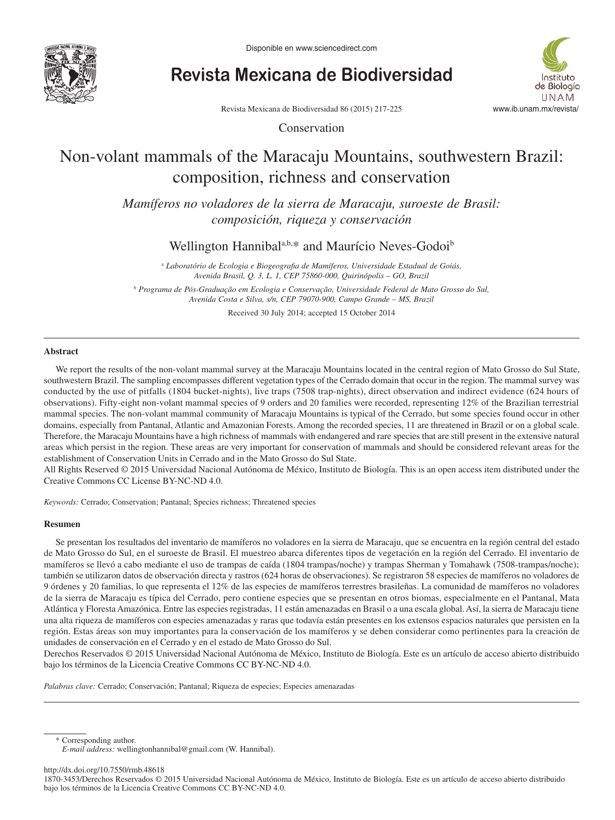

**Revista Mexicana de Biodiversidad**



Revista Mexicana de Biodiversidad 86 (2015) 217-225

Conservation

# Non-volant mammals of the Maracaju Mountains, southwestern Brazil: composition, richness and conservation

*Mamíferos no voladores de la sierra de Maracaju, suroeste de Brasil: composición, riqueza y conservación*

Wellington Hannibal<sup>a,b,\*</sup> and Maurício Neves-Godoi<sup>b</sup>

<sup>a</sup> Laboratório de Ecologia e Biogeografia de Mamíferos, Universidade Estadual de Goiás, *Avenida Brasil, Q. 3, L. 1, CEP 75860-000, Quirinópolis – GO, Brazil* b  *Programa de Pós-Graduação em Ecologia e Conservação, Universidade Federal de Mato Grosso do Sul, Avenida Costa e Silva, s/n, CEP 79070-900, Campo Grande – MS, Brazil*

Received 30 July 2014; accepted 15 October 2014

## **Abstract**

We report the results of the non-volant mammal survey at the Maracaju Mountains located in the central region of Mato Grosso do Sul State, southwestern Brazil. The sampling encompasses different vegetation types of the Cerrado domain that occur in the region. The mammal survey was conducted by the use of pitfalls (1804 bucket-nights), live traps (7508 trap-nights), direct observation and indirect evidence (624 hours of observations). Fifty-eight non-volant mammal species of 9 orders and 20 families were recorded, representing 12% of the Brazilian terrestrial mammal species. The non-volant mammal community of Maracaju Mountains is typical of the Cerrado, but some species found occur in other domains, especially from Pantanal, Atlantic and Amazonian Forests. Among the recorded species, 11 are threatened in Brazil or on a global scale. Therefore, the Maracaju Mountains have a high richness of mammals with endangered and rare species that are still present in the extensive natural areas which persist in the region. These areas are very important for conservation of mammals and should be considered relevant areas for the establishment of Conservation Units in Cerrado and in the Mato Grosso do Sul State.

All Rights Reserved © 2015 Universidad Nacional Autónoma de México, Instituto de Biología. This is an open access item distributed under the Creative Commons CC License BY-NC-ND 4.0.

*Keywords:* Cerrado; Conservation; Pantanal; Species richness; Threatened species

#### **Resumen**

Se presentan los resultados del inventario de mamíferos no voladores en la sierra de Maracaju, que se encuentra en la región central del estado de Mato Grosso do Sul, en el suroeste de Brasil. El muestreo abarca diferentes tipos de vegetación en la región del Cerrado. El inventario de mamíferos se llevó a cabo mediante el uso de trampas de caída (1804 trampas/noche) y trampas Sherman y Tomahawk (7508-trampas/noche); también se utilizaron datos de observación directa y rastros (624 horas de observaciones). Se registraron 58 especies de mamíferos no voladores de 9 órdenes y 20 familias, lo que representa el 12% de las especies de mamíferos terrestres brasileñas. La comunidad de mamíferos no voladores de la sierra de Maracaju es típica del Cerrado, pero contiene especies que se presentan en otros biomas, especialmente en el Pantanal, Mata Atlántica y Floresta Amazónica. Entre las especies registradas, 11 están amenazadas en Brasil o a una escala global. Así, la sierra de Maracaju tiene una alta riqueza de mamíferos con especies amenazadas y raras que todavía están presentes en los extensos espacios naturales que persisten en la región. Estas áreas son muy importantes para la conservación de los mamíferos y se deben considerar como pertinentes para la creación de unidades de conservación en el Cerrado y en el estado de Mato Grosso do Sul.

Derechos Reservados © 2015 Universidad Nacional Autónoma de México, Instituto de Biología. Este es un artículo de acceso abierto distribuido bajo los términos de la Licencia Creative Commons CC BY-NC-ND 4.0.

*Palabras clave:* Cerrado; Conservación; Pantanal; Riqueza de especies; Especies amenazadas

\* Corresponding author.

http://dx.doi.org/10.7550/rmb.48618

1870-3453/Derechos Reservados © 2015 Universidad Nacional Autónoma de México, Instituto de Biología. Este es un artículo de acceso abierto distribuido bajo los términos de la Licencia Creative Commons CC BY-NC-ND 4.0.

*E-mail address:* wellingtonhannibal@gmail.com (W. Hannibal).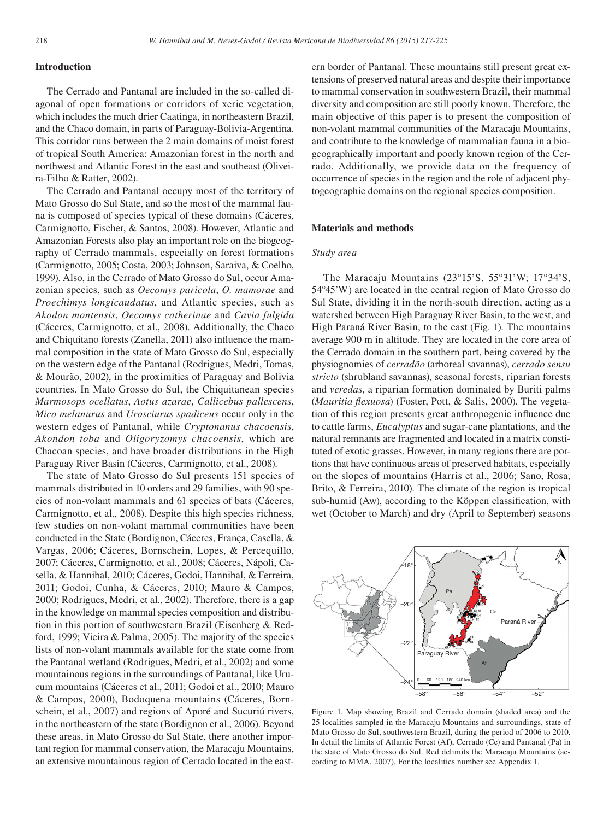## **Introduction**

The Cerrado and Pantanal are included in the so-called diagonal of open formations or corridors of xeric vegetation, which includes the much drier Caatinga, in northeastern Brazil, and the Chaco domain, in parts of Paraguay-Bolivia-Argentina. This corridor runs between the 2 main domains of moist forest of tropical South America: Amazonian forest in the north and northwest and Atlantic Forest in the east and southeast (Oliveira-Filho & Ratter, 2002).

The Cerrado and Pantanal occupy most of the territory of Mato Grosso do Sul State, and so the most of the mammal fauna is composed of species typical of these domains (Cáceres, Carmignotto, Fischer, & Santos, 2008). However, Atlantic and Amazonian Forests also play an important role on the biogeography of Cerrado mammals, especially on forest formations (Carmignotto, 2005; Costa, 2003; Johnson, Saraiva, & Coelho, 1999). Also, in the Cerrado of Mato Grosso do Sul, occur Amazonian species, such as *Oecomys paricola*, *O. mamorae* and *Proechimys longicaudatus*, and Atlantic species, such as *Akodon montensis*, *Oecomys catherinae* and *Cavia fulgida* (Cáceres, Carmignotto, et al., 2008). Additionally, the Chaco and Chiquitano forests (Zanella, 2011) also influence the mammal composition in the state of Mato Grosso do Sul, especially on the western edge of the Pantanal (Rodrigues, Medri, Tomas, & Mourão, 2002), in the proximities of Paraguay and Bolivia countries. In Mato Grosso do Sul, the Chiquitanean species *Marmosops ocellatus*, *Aotus azarae*, *Callicebus pallescens*, *Mico melanurus* and *Urosciurus spadiceus* occur only in the western edges of Pantanal, while *Cryptonanus chacoensis*, *Akondon toba* and *Oligoryzomys chacoensis*, which are Chacoan species, and have broader distributions in the High Paraguay River Basin (Cáceres, Carmignotto, et al., 2008).

The state of Mato Grosso do Sul presents 151 species of mammals distributed in 10 orders and 29 families, with 90 species of non-volant mammals and 61 species of bats (Cáceres, Carmignotto, et al., 2008). Despite this high species richness, few studies on non-volant mammal communities have been conducted in the State (Bordignon, Cáceres, França, Casella, & Vargas, 2006; Cáceres, Bornschein, Lopes, & Percequillo, 2007; Cáceres, Carmignotto, et al., 2008; Cáceres, Nápoli, Casella, & Hannibal, 2010; Cáceres, Godoi, Hannibal, & Ferreira, 2011; Godoi, Cunha, & Cáceres, 2010; Mauro & Campos, 2000; Rodrigues, Medri, et al., 2002). Therefore, there is a gap in the knowledge on mammal species composition and distribution in this portion of southwestern Brazil (Eisenberg & Redford, 1999; Vieira & Palma, 2005). The majority of the species lists of non-volant mammals available for the state come from the Pantanal wetland (Rodrigues, Medri, et al., 2002) and some mountainous regions in the surroundings of Pantanal, like Urucum mountains (Cáceres et al., 2011; Godoi et al., 2010; Mauro & Campos, 2000), Bodoquena mountains (Cáceres, Bornschein, et al., 2007) and regions of Aporé and Sucuriú rivers, in the northeastern of the state (Bordignon et al., 2006). Beyond these areas, in Mato Grosso do Sul State, there another important region for mammal conservation, the Maracaju Mountains, an extensive mountainous region of Cerrado located in the eastern border of Pantanal. These mountains still present great extensions of preserved natural areas and despite their importance to mammal conservation in southwestern Brazil, their mammal diversity and composition are still poorly known. Therefore, the main objective of this paper is to present the composition of non-volant mammal communities of the Maracaju Mountains, and contribute to the knowledge of mammalian fauna in a biogeographically important and poorly known region of the Cerrado. Additionally, we provide data on the frequency of occurrence of species in the region and the role of adjacent phytogeographic domains on the regional species composition.

#### **Materials and methods**

#### *Study area*

The Maracaju Mountains (23°15'S, 55°31'W; 17°34'S, 54°45'W) are located in the central region of Mato Grosso do Sul State, dividing it in the north-south direction, acting as a watershed between High Paraguay River Basin, to the west, and High Paraná River Basin, to the east (Fig. 1). The mountains average 900 m in altitude. They are located in the core area of the Cerrado domain in the southern part, being covered by the physiognomies of *cerradão* (arboreal savannas), *cerrado sensu stricto* (shrubland savannas), seasonal forests, riparian forests and *veredas*, a riparian formation dominated by Buriti palms (*Mauritia flexuosa*) (Foster, Pott, & Salis, 2000). The vegetation of this region presents great anthropogenic influence due to cattle farms, *Eucalyptus* and sugar-cane plantations, and the natural remnants are fragmented and located in a matrix constituted of exotic grasses. However, in many regions there are portions that have continuous areas of preserved habitats, especially on the slopes of mountains (Harris et al., 2006; Sano, Rosa, Brito, & Ferreira, 2010). The climate of the region is tropical sub-humid (Aw), according to the Köppen classification, with wet (October to March) and dry (April to September) seasons



Figure 1. Map showing Brazil and Cerrado domain (shaded area) and the 25 localities sampled in the Maracaju Mountains and surroundings, state of Mato Grosso do Sul, southwestern Brazil, during the period of 2006 to 2010. In detail the limits of Atlantic Forest (Af), Cerrado (Ce) and Pantanal (Pa) in the state of Mato Grosso do Sul. Red delimits the Maracaju Mountains (according to MMA, 2007). For the localities number see Appendix 1.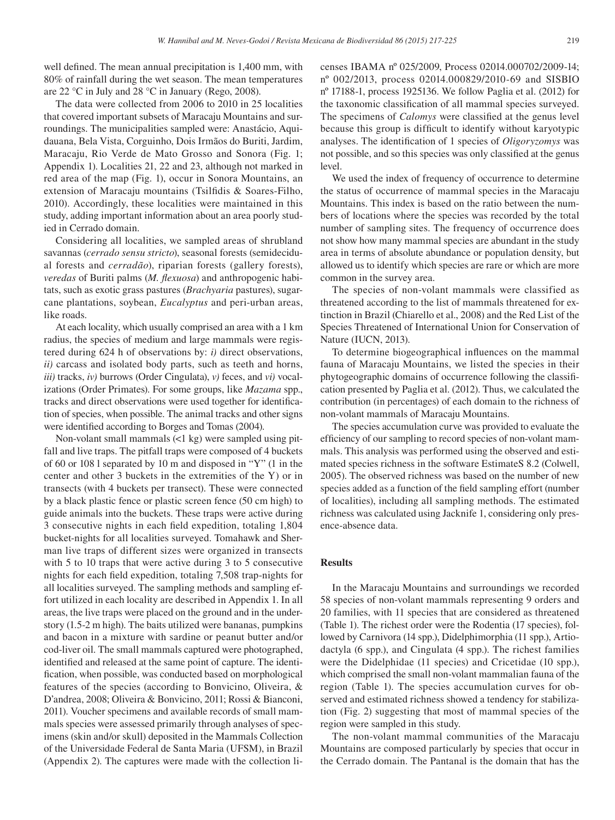well defined. The mean annual precipitation is 1,400 mm, with 80% of rainfall during the wet season. The mean temperatures are 22 °C in July and 28 °C in January (Rego, 2008).

The data were collected from 2006 to 2010 in 25 localities that covered important subsets of Maracaju Mountains and surroundings. The municipalities sampled were: Anastácio, Aquidauana, Bela Vista, Corguinho, Dois Irmãos do Buriti, Jardim, Maracaju, Rio Verde de Mato Grosso and Sonora (Fig. 1; Appendix 1). Localities 21, 22 and 23, although not marked in red area of the map (Fig. 1), occur in Sonora Mountains, an extension of Maracaju mountains (Tsilfidis & Soares-Filho, 2010). Accordingly, these localities were maintained in this study, adding important information about an area poorly studied in Cerrado domain.

Considering all localities, we sampled areas of shrubland savannas (*cerrado sensu stricto*), seasonal forests (semidecidual forests and *cerradão*), riparian forests (gallery forests), *veredas* of Buriti palms (*M. flexuosa*) and anthropogenic habitats, such as exotic grass pastures (*Brachyaria* pastures), sugarcane plantations, soybean, *Eucalyptus* and peri-urban areas, like roads.

At each locality, which usually comprised an area with a 1 km radius, the species of medium and large mammals were registered during 624 h of observations by: *i)* direct observations, *ii)* carcass and isolated body parts, such as teeth and horns, *iii)* tracks, *iv)* burrows (Order Cingulata), *v)* feces, and *vi)* vocalizations (Order Primates). For some groups, like *Mazama* spp., tracks and direct observations were used together for identification of species, when possible. The animal tracks and other signs were identified according to Borges and Tomas (2004).

Non-volant small mammals (<1 kg) were sampled using pitfall and live traps. The pitfall traps were composed of 4 buckets of 60 or 108 l separated by 10 m and disposed in "Y" (1 in the center and other 3 buckets in the extremities of the Y) or in transects (with 4 buckets per transect). These were connected by a black plastic fence or plastic screen fence (50 cm high) to guide animals into the buckets. These traps were active during 3 consecutive nights in each field expedition, totaling 1,804 bucket-nights for all localities surveyed. Tomahawk and Sherman live traps of different sizes were organized in transects with 5 to 10 traps that were active during 3 to 5 consecutive nights for each field expedition, totaling 7,508 trap-nights for all localities surveyed. The sampling methods and sampling effort utilized in each locality are described in Appendix 1. In all areas, the live traps were placed on the ground and in the understory (1.5-2 m high). The baits utilized were bananas, pumpkins and bacon in a mixture with sardine or peanut butter and/or cod-liver oil. The small mammals captured were photographed, identified and released at the same point of capture. The identification, when possible, was conducted based on morphological features of the species (according to Bonvicino, Oliveira, & D'andrea, 2008; Oliveira & Bonvicino, 2011; Rossi & Bianconi, 2011). Voucher specimens and available records of small mammals species were assessed primarily through analyses of specimens (skin and/or skull) deposited in the Mammals Collection of the Universidade Federal de Santa Maria (UFSM), in Brazil (Appendix 2). The captures were made with the collection licenses IBAMA nº 025/2009, Process 02014.000702/2009-14; nº 002/2013, process 02014.000829/2010-69 and SISBIO nº 17188-1, process 1925136. We follow Paglia et al. (2012) for the taxonomic classification of all mammal species surveyed. The specimens of *Calomys* were classified at the genus level because this group is difficult to identify without karyotypic analyses. The identification of 1 species of *Oligoryzomys* was not possible, and so this species was only classified at the genus level.

We used the index of frequency of occurrence to determine the status of occurrence of mammal species in the Maracaju Mountains. This index is based on the ratio between the numbers of locations where the species was recorded by the total number of sampling sites. The frequency of occurrence does not show how many mammal species are abundant in the study area in terms of absolute abundance or population density, but allowed us to identify which species are rare or which are more common in the survey area.

The species of non-volant mammals were classified as threatened according to the list of mammals threatened for extinction in Brazil (Chiarello et al., 2008) and the Red List of the Species Threatened of International Union for Conservation of Nature (IUCN, 2013).

To determine biogeographical influences on the mammal fauna of Maracaju Mountains, we listed the species in their phytogeographic domains of occurrence following the classification presented by Paglia et al. (2012). Thus, we calculated the contribution (in percentages) of each domain to the richness of non-volant mammals of Maracaju Mountains.

The species accumulation curve was provided to evaluate the efficiency of our sampling to record species of non-volant mammals. This analysis was performed using the observed and estimated species richness in the software EstimateS 8.2 (Colwell, 2005). The observed richness was based on the number of new species added as a function of the field sampling effort (number of localities), including all sampling methods. The estimated richness was calculated using Jacknife 1, considering only presence-absence data.

#### **Results**

In the Maracaju Mountains and surroundings we recorded 58 species of non-volant mammals representing 9 orders and 20 families, with 11 species that are considered as threatened (Table 1). The richest order were the Rodentia (17 species), followed by Carnivora (14 spp.), Didelphimorphia (11 spp.), Artiodactyla (6 spp.), and Cingulata (4 spp.). The richest families were the Didelphidae (11 species) and Cricetidae (10 spp.), which comprised the small non-volant mammalian fauna of the region (Table 1). The species accumulation curves for observed and estimated richness showed a tendency for stabilization (Fig. 2) suggesting that most of mammal species of the region were sampled in this study.

The non-volant mammal communities of the Maracaju Mountains are composed particularly by species that occur in the Cerrado domain. The Pantanal is the domain that has the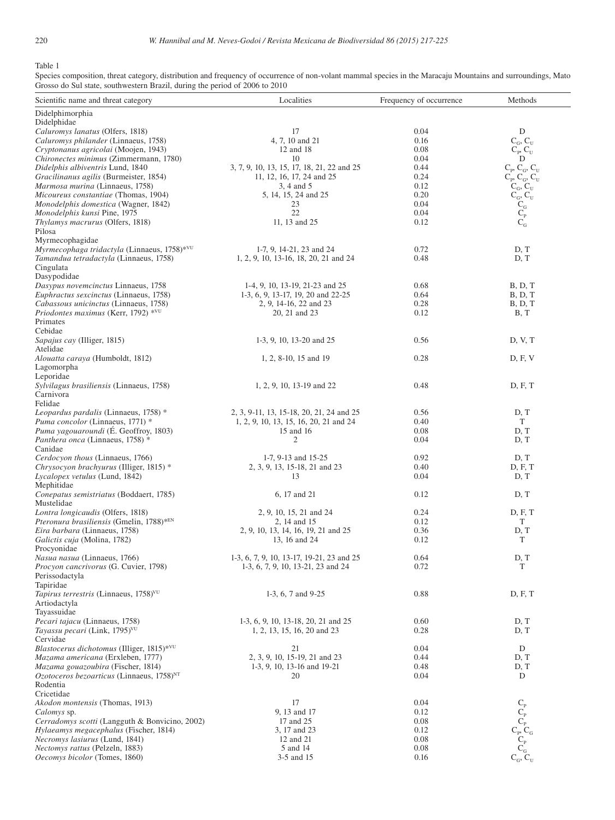Table 1

Species composition, threat category, distribution and frequency of occurrence of non-volant mammal species in the Maracaju Mountains and surroundings, Mato Grosso do Sul state, southwestern Brazil, during the period of 2006 to 2010 

| Scientific name and threat category                                                      | Localities                                                                      | Frequency of occurrence | Methods                                                                                                              |
|------------------------------------------------------------------------------------------|---------------------------------------------------------------------------------|-------------------------|----------------------------------------------------------------------------------------------------------------------|
| Didelphimorphia                                                                          |                                                                                 |                         |                                                                                                                      |
| Didelphidae                                                                              |                                                                                 |                         |                                                                                                                      |
| Caluromys lanatus (Olfers, 1818)<br>Caluromys philander (Linnaeus, 1758)                 | 17<br>4, 7, 10 and 21                                                           | 0.04<br>0.16            | D                                                                                                                    |
| Cryptonanus agricolai (Moojen, 1943)                                                     | 12 and 18                                                                       | 0.08                    | $C_G, C_U$<br>$\mathrm{C}_{\mathrm{p}}, \mathrm{C}_{\mathrm{U}}$                                                     |
| Chironectes minimus (Zimmermann, 1780)                                                   | 10                                                                              | 0.04                    | $\mathbf D$                                                                                                          |
| Didelphis albiventris Lund, 1840                                                         | 3, 7, 9, 10, 13, 15, 17, 18, 21, 22 and 25                                      | 0.44                    | $C_p, C_G, C_U$                                                                                                      |
| Gracilinanus agilis (Burmeister, 1854)                                                   | 11, 12, 16, 17, 24 and 25                                                       | 0.24                    | $C_{P}$ , $C_{G}$ , $C_{U}$                                                                                          |
| Marmosa murina (Linnaeus, 1758)                                                          | 3, 4 and 5                                                                      | 0.12                    | $C_G, C_U$                                                                                                           |
| Micoureus constantiae (Thomas, 1904)                                                     | 5, 14, 15, 24 and 25                                                            | 0.20                    | $C_{\rm G}^{\rm C}$ , $C_{\rm G}^{\rm C}$                                                                            |
| Monodelphis domestica (Wagner, 1842)                                                     | 23                                                                              | 0.04                    |                                                                                                                      |
| Monodelphis kunsi Pine, 1975                                                             | 22                                                                              | 0.04                    |                                                                                                                      |
| Thylamys macrurus (Olfers, 1818)<br>Pilosa                                               | 11, 13 and 25                                                                   | 0.12                    | $C_G$                                                                                                                |
| Myrmecophagidae                                                                          |                                                                                 |                         |                                                                                                                      |
| Myrmecophaga tridactyla (Linnaeus, 1758)*VU                                              | 1-7, 9, 14-21, 23 and 24                                                        | 0.72                    | D, T                                                                                                                 |
| Tamandua tetradactyla (Linnaeus, 1758)                                                   | 1, 2, 9, 10, 13-16, 18, 20, 21 and 24                                           | 0.48                    | D, T                                                                                                                 |
| Cingulata                                                                                |                                                                                 |                         |                                                                                                                      |
| Dasypodidae                                                                              |                                                                                 |                         |                                                                                                                      |
| Dasypus novemcinctus Linnaeus, 1758                                                      | 1-4, 9, 10, 13-19, 21-23 and 25                                                 | 0.68                    | B, D, T                                                                                                              |
| Euphractus sexcinctus (Linnaeus, 1758)                                                   | 1-3, 6, 9, 13-17, 19, 20 and 22-25                                              | 0.64                    | B, D, T                                                                                                              |
| Cabassous unicinctus (Linnaeus, 1758)                                                    | 2, 9, 14-16, 22 and 23                                                          | 0.28                    | B, D, T                                                                                                              |
| Priodontes maximus (Kerr, 1792) *VU<br>Primates                                          | 20, 21 and 23                                                                   | 0.12                    | B, T                                                                                                                 |
| Cebidae                                                                                  |                                                                                 |                         |                                                                                                                      |
| Sapajus cay (Illiger, 1815)                                                              | 1-3, 9, 10, 13-20 and 25                                                        | 0.56                    | D, V, T                                                                                                              |
| Atelidae                                                                                 |                                                                                 |                         |                                                                                                                      |
| Alouatta caraya (Humboldt, 1812)                                                         | 1, 2, 8-10, 15 and 19                                                           | 0.28                    | D, F, V                                                                                                              |
| Lagomorpha                                                                               |                                                                                 |                         |                                                                                                                      |
| Leporidae                                                                                |                                                                                 |                         |                                                                                                                      |
| Sylvilagus brasiliensis (Linnaeus, 1758)                                                 | 1, 2, 9, 10, 13-19 and 22                                                       | 0.48                    | D, F, T                                                                                                              |
| Carnivora                                                                                |                                                                                 |                         |                                                                                                                      |
| Felidae<br>Leopardus pardalis (Linnaeus, 1758) *                                         | 2, 3, 9-11, 13, 15-18, 20, 21, 24 and 25                                        | 0.56                    | D, T                                                                                                                 |
| Puma concolor (Linnaeus, 1771) *                                                         | 1, 2, 9, 10, 13, 15, 16, 20, 21 and 24                                          | 0.40                    | T                                                                                                                    |
| Puma yagouaroundi (É. Geoffroy, 1803)                                                    | 15 and 16                                                                       | 0.08                    | D, T                                                                                                                 |
| Panthera onca (Linnaeus, 1758) *                                                         | 2                                                                               | 0.04                    | D, T                                                                                                                 |
| Canidae                                                                                  |                                                                                 |                         |                                                                                                                      |
| Cerdocyon thous (Linnaeus, 1766)                                                         | 1-7, 9-13 and 15-25                                                             | 0.92                    | D, T                                                                                                                 |
| Chrysocyon brachyurus (Illiger, 1815) *                                                  | 2, 3, 9, 13, 15-18, 21 and 23                                                   | 0.40                    | D, F, T                                                                                                              |
| Lycalopex vetulus (Lund, 1842)                                                           | 13                                                                              | 0.04                    | D, T                                                                                                                 |
| Mephitidae<br>Conepatus semistriatus (Boddaert, 1785)                                    | 6, 17 and 21                                                                    | 0.12                    | D, T                                                                                                                 |
| Mustelidae                                                                               |                                                                                 |                         |                                                                                                                      |
| Lontra longicaudis (Olfers, 1818)                                                        | 2, 9, 10, 15, 21 and 24                                                         | 0.24                    | D, F, T                                                                                                              |
| Pteronura brasiliensis (Gmelin, 1788)*EN                                                 | 2, 14 and 15                                                                    | 0.12                    | T                                                                                                                    |
| Eira barbara (Linnaeus, 1758)                                                            | 2, 9, 10, 13, 14, 16, 19, 21 and 25                                             | 0.36                    | D, T                                                                                                                 |
| Galictis cuja (Molina, 1782)                                                             | 13, 16 and 24                                                                   | 0.12                    | T                                                                                                                    |
| Procyonidae                                                                              |                                                                                 |                         |                                                                                                                      |
| Nasua nasua (Linnaeus, 1766)<br>Procyon cancrivorus (G. Cuvier, 1798)                    | 1-3, 6, 7, 9, 10, 13-17, 19-21, 23 and 25<br>1-3, 6, 7, 9, 10, 13-21, 23 and 24 | 0.64<br>0.72            | D, T<br>T                                                                                                            |
| Perissodactyla                                                                           |                                                                                 |                         |                                                                                                                      |
| Tapiridae                                                                                |                                                                                 |                         |                                                                                                                      |
| Tapirus terrestris (Linnaeus, 1758) <sup>VU</sup>                                        | 1-3, 6, 7 and 9-25                                                              | 0.88                    | D, F, T                                                                                                              |
| Artiodactyla                                                                             |                                                                                 |                         |                                                                                                                      |
| Tayassuidae                                                                              |                                                                                 |                         |                                                                                                                      |
| Pecari tajacu (Linnaeus, 1758)                                                           | 1-3, 6, 9, 10, 13-18, 20, 21 and 25                                             | 0.60                    | D, T                                                                                                                 |
| Tayassu pecari (Link, 1795) <sup>VU</sup>                                                | 1, 2, 13, 15, 16, 20 and 23                                                     | 0.28                    | D, T                                                                                                                 |
| Cervidae<br><i>Blastocerus dichotomus</i> (Illiger, 1815)* <sup>VU</sup>                 | 21                                                                              | 0.04                    | D                                                                                                                    |
| Mazama americana (Erxleben, 1777)                                                        | 2, 3, 9, 10, 15-19, 21 and 23                                                   | 0.44                    | D, T                                                                                                                 |
| Mazama gouazoubira (Fischer, 1814)                                                       | 1-3, 9, 10, 13-16 and 19-21                                                     | 0.48                    | D, T                                                                                                                 |
| Ozotoceros bezoarticus (Linnaeus, 1758) <sup>NT</sup>                                    | 20                                                                              | 0.04                    | D                                                                                                                    |
| Rodentia                                                                                 |                                                                                 |                         |                                                                                                                      |
| Cricetidae                                                                               |                                                                                 |                         |                                                                                                                      |
| Akodon montensis (Thomas, 1913)                                                          | 17                                                                              | 0.04                    |                                                                                                                      |
| Calomys sp.                                                                              | 9, 13 and 17                                                                    | 0.12                    |                                                                                                                      |
| Cerradomys scotti (Langguth & Bonvicino, 2002)<br>Hylaeamys megacephalus (Fischer, 1814) | 17 and 25<br>3, 17 and 23                                                       | 0.08<br>0.12            |                                                                                                                      |
| Necromys lasiurus (Lund, 1841)                                                           | 12 and 21                                                                       | 0.08                    |                                                                                                                      |
| Nectomys rattus (Pelzeln, 1883)                                                          | 5 and 14                                                                        | 0.08                    |                                                                                                                      |
| Oecomys bicolor (Tomes, 1860)                                                            | 3-5 and 15                                                                      | 0.16                    | $\begin{array}{c} C_{\rm p} \\ C_{\rm p} \\ C_{\rm p} \\ C_{\rm q} \\ C_{\rm G} \\ C_{\rm G}, C_{\rm U} \end{array}$ |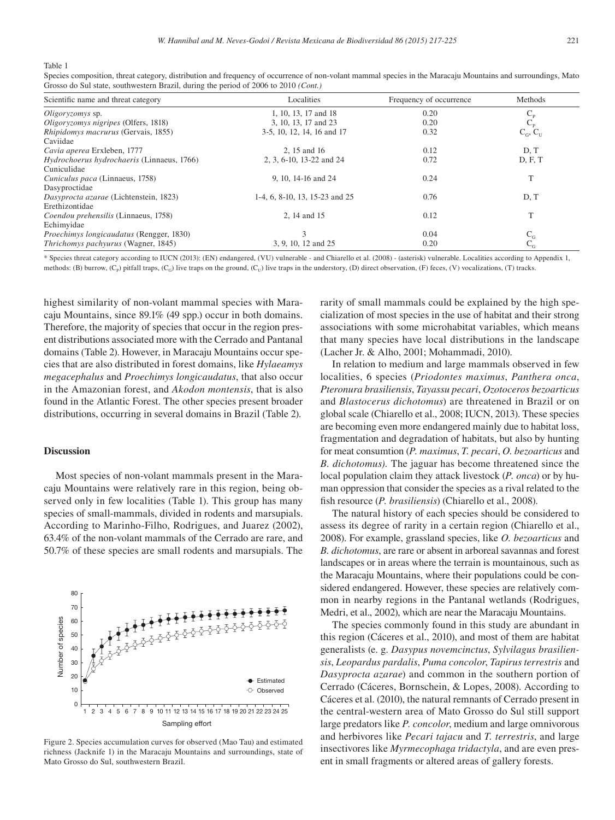Table 1

| Scientific name and threat category             | Localities                     | Frequency of occurrence | Methods                 |
|-------------------------------------------------|--------------------------------|-------------------------|-------------------------|
| Oligoryzomys sp.                                | 1, 10, 13, 17 and 18           | 0.20                    | $C_{\rm p}$             |
| Oligoryzomys nigripes (Olfers, 1818)            | 3, 10, 13, 17 and 23           | 0.20                    | $\mathbf{C}_\mathrm{P}$ |
| <i>Rhipidomys macrurus</i> (Gervais, 1855)      | 3-5, 10, 12, 14, 16 and 17     | 0.32                    | $C_G, C_U$              |
| Caviidae                                        |                                |                         |                         |
| Cavia aperea Erxleben, 1777                     | 2, 15 and 16                   | 0.12                    | D, T                    |
| Hydrochoerus hydrochaeris (Linnaeus, 1766)      | 2, 3, 6-10, 13-22 and 24       | 0.72                    | D, F, T                 |
| Cuniculidae                                     |                                |                         |                         |
| Cuniculus paca (Linnaeus, 1758)                 | 9, 10, 14-16 and 24            | 0.24                    | T                       |
| Dasyproctidae                                   |                                |                         |                         |
| Dasyprocta azarae (Lichtenstein, 1823)          | 1-4, 6, 8-10, 13, 15-23 and 25 | 0.76                    | D, T                    |
| Erethizontidae                                  |                                |                         |                         |
| Coendou prehensilis (Linnaeus, 1758)            | 2, 14 and 15                   | 0.12                    | T                       |
| Echimyidae                                      |                                |                         |                         |
| <i>Proechimys longicaudatus</i> (Rengger, 1830) | 3                              | 0.04                    |                         |
| <i>Thrichomys pachyurus</i> (Wagner, 1845)      | 3, 9, 10, 12 and 25            | 0.20                    | $\frac{C_{G}}{C_{G}}$   |

Species composition, threat category, distribution and frequency of occurrence of non-volant mammal species in the Maracaju Mountains and surroundings, Mato Grosso do Sul state, southwestern Brazil, during the period of 2006 to 2010 *(Cont.)*

\* Species threat category according to IUCN (2013): (EN) endangered, (VU) vulnerable - and Chiarello et al. (2008) - (asterisk) vulnerable. Localities according to Appendix 1, methods: (B) burrow, (C<sub>p</sub>) pitfall traps, (C<sub>G</sub>) live traps on the ground, (C<sub>U</sub>) live traps in the understory, (D) direct observation, (F) feces, (V) vocalizations, (T) tracks.

highest similarity of non-volant mammal species with Maracaju Mountains, since 89.1% (49 spp.) occur in both domains. Therefore, the majority of species that occur in the region present distributions associated more with the Cerrado and Pantanal domains (Table 2). However, in Maracaju Mountains occur species that are also distributed in forest domains, like *Hylaeamys megacephalus* and *Proechimys longicaudatus*, that also occur in the Amazonian forest, and *Akodon montensis*, that is also found in the Atlantic Forest. The other species present broader distributions, occurring in several domains in Brazil (Table 2).

## **Discussion**

Most species of non-volant mammals present in the Maracaju Mountains were relatively rare in this region, being observed only in few localities (Table 1). This group has many species of small-mammals, divided in rodents and marsupials. According to Marinho-Filho, Rodrigues, and Juarez (2002), 63.4% of the non-volant mammals of the Cerrado are rare, and 50.7% of these species are small rodents and marsupials. The



Figure 2. Species accumulation curves for observed (Mao Tau) and estimated richness (Jacknife 1) in the Maracaju Mountains and surroundings, state of Mato Grosso do Sul, southwestern Brazil.

rarity of small mammals could be explained by the high specialization of most species in the use of habitat and their strong associations with some microhabitat variables, which means that many species have local distributions in the landscape (Lacher Jr. & Alho, 2001; Mohammadi, 2010).

In relation to medium and large mammals observed in few localities, 6 species (*Priodontes maximus*, *Panthera onca*, *Pteronura brasiliensis*, *Tayassu pecari*, *Ozotoceros bezoarticus* and *Blastocerus dichotomus*) are threatened in Brazil or on global scale (Chiarello et al., 2008; IUCN, 2013). These species are becoming even more endangered mainly due to habitat loss, fragmentation and degradation of habitats, but also by hunting for meat consumtion (*P. maximus*, *T. pecari*, *O. bezoarticus* and *B. dichotomus).* The jaguar has become threatened since the local population claim they attack livestock (*P. onca*) or by human oppression that consider the species as a rival related to the fish resource (*P. brasiliensis*) (Chiarello et al., 2008).

The natural history of each species should be considered to assess its degree of rarity in a certain region (Chiarello et al., 2008). For example, grassland species, like *O. bezoarticus* and *B. dichotomus*, are rare or absent in arboreal savannas and forest landscapes or in areas where the terrain is mountainous, such as the Maracaju Mountains, where their populations could be considered endangered. However, these species are relatively common in nearby regions in the Pantanal wetlands (Rodrigues, Medri, et al., 2002), which are near the Maracaju Mountains.

The species commonly found in this study are abundant in this region (Cáceres et al., 2010), and most of them are habitat generalists (e. g. *Dasypus novemcinctus*, *Sylvilagus brasiliensis*, *Leopardus pardalis*, *Puma concolor*, *Tapirus terrestris* and *Dasyprocta azarae*) and common in the southern portion of Cerrado (Cáceres, Bornschein, & Lopes, 2008). According to Cáceres et al. (2010), the natural remnants of Cerrado present in the central-western area of Mato Grosso do Sul still support large predators like *P. concolor*, medium and large omnivorous and herbivores like *Pecari tajacu* and *T. terrestris*, and large insectivores like *Myrmecophaga tridactyla*, and are even present in small fragments or altered areas of gallery forests.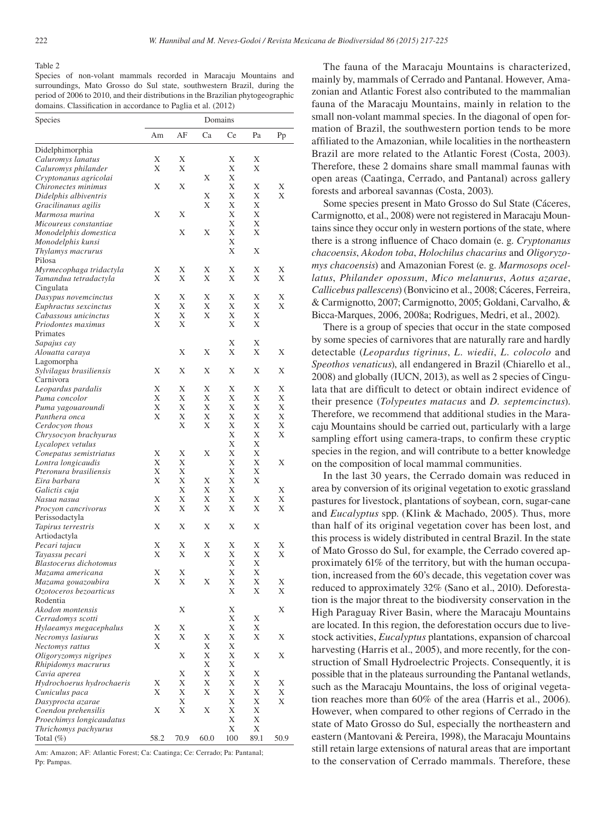#### Table 2

Species of non-volant mammals recorded in Maracaju Mountains and surroundings, Mato Grosso do Sul state, southwestern Brazil, during the period of 2006 to 2010, and their distributions in the Brazilian phytogeographic domains. Classification in accordance to Paglia et al. (2012)

| Species                                      | Domains |        |      |        |        |      |
|----------------------------------------------|---------|--------|------|--------|--------|------|
|                                              | Am      | AF     | Ca   | Ce     | Pa     | Pp   |
| Didelphimorphia                              |         |        |      |        |        |      |
| Caluromys lanatus                            | Χ       | Х      |      | Х      | Х      |      |
| Caluromys philander                          | X       | Х      |      | Х      | Х      |      |
| Cryptonanus agricolai                        |         |        | Χ    | Х      |        |      |
| Chironectes minimus                          | Х       | Х      |      | Х      | Х      | Χ    |
| Didelphis albiventris                        |         |        | Х    | Х      | Х      | Χ    |
| Gracilinanus agilis                          |         |        | Χ    | Х      | Χ      |      |
| Marmosa murina                               | Х       | Х      |      | Х      | Χ      |      |
| Micoureus constantiae                        |         |        |      | Х      | Х      |      |
| Monodelphis domestica                        |         | Х      | Х    | Х      | Χ      |      |
| Monodelphis kunsi                            |         |        |      | Х      |        |      |
| Thylamys macrurus                            |         |        |      | Х      | Х      |      |
| Pilosa                                       |         |        |      |        |        |      |
| Myrmecophaga tridactyla                      | Х       | Х      | Х    | Х      | Х      | Χ    |
| Tamandua tetradactyla                        | Х       | Χ      | Χ    | Х      | Χ      | Χ    |
| Cingulata                                    |         |        |      |        |        |      |
| Dasypus novemcinctus                         | Χ       | Χ      | Χ    | Х      | Х      | Χ    |
| Euphractus sexcinctus                        | X       | Χ      | Χ    | Х      | Х      | Χ    |
| Cabassous unicinctus                         | X<br>X  | Χ<br>Χ | Χ    | Х<br>Х | Х<br>Х |      |
| Priodontes maximus<br>Primates               |         |        |      |        |        |      |
|                                              |         |        |      | Х      | Х      |      |
| Sapajus cay<br>Alouatta caraya               |         | Χ      | Χ    | Х      | Х      | Χ    |
| Lagomorpha                                   |         |        |      |        |        |      |
| Sylvilagus brasiliensis                      | Χ       | Χ      | Χ    | Х      | Х      | Χ    |
| Carnivora                                    |         |        |      |        |        |      |
| Leopardus pardalis                           | Χ       | Х      | Χ    | Х      | Х      | Χ    |
| Puma concolor                                | Χ       | Х      | Х    | Х      | Х      | Χ    |
| Puma yagouaroundi                            | Χ       | Х      | Χ    | Х      | Х      | Х    |
| Panthera onca                                | Χ       | Х      | Χ    | Х      | Х      | Χ    |
| Cerdocyon thous                              |         | Χ      | Χ    | Х      | Х      | Х    |
| Chrysocyon brachyurus                        |         |        |      | Х      | Х      | Χ    |
| Lycalopex vetulus                            |         |        |      | Х      | Х      |      |
| Conepatus semistriatus                       | Χ       | Х      | Х    | Х      | Х      |      |
| Lontra longicaudis                           | Χ       | Х      |      | Х      | Х      | Χ    |
| Pteronura brasiliensis                       | Χ       | Х      |      | Х      | Χ      |      |
| Eira barbara                                 | X       | Χ      | Χ    | Х      | Χ      |      |
| Galictis cuja                                |         | Х      | Х    | Х      |        | Χ    |
| Nasua nasua                                  | Χ       | Х      | Χ    | Х      | Х      | Х    |
| Procyon cancrivorus                          | Χ       | Х      | Χ    | Х      | Х      | Χ    |
| Perissodactyla                               |         |        |      |        |        |      |
| Tapirus terrestris                           | Χ       | Х      | Χ    | Х      | Х      |      |
| Artiodactyla                                 |         |        |      |        |        |      |
| Pecari tajacu                                | Χ       | Х      | Х    | Х      | Х      | Х    |
| Tayassu pecari                               | X       | Χ      | Χ    | Х<br>Х | Х      | Χ    |
| Blastocerus dichotomus                       | X       | Х      |      | Х      | Х<br>Х |      |
| Mazama americana                             |         |        | X    |        |        | X    |
| Mazama gouazoubira<br>Ozotoceros bezoarticus | X       | X      |      | X<br>Х | X<br>Χ | Х    |
| Rodentia                                     |         |        |      |        |        |      |
| Akodon montensis                             |         | Х      |      | Х      |        | Х    |
| Cerradomys scotti                            |         |        |      | Х      | Х      |      |
| Hylaeamys megacephalus                       | Χ       | Х      |      | Χ      | Х      |      |
| Necromys lasiurus                            | Х       | Х      | Х    | Х      | Х      | Х    |
| Nectomys rattus                              | Χ       |        | Х    | Х      |        |      |
| Oligoryzomys nigripes                        |         | Х      | Х    | Х      | Х      | Χ    |
| Rhipidomys macrurus                          |         |        | Х    | Х      |        |      |
| Cavia aperea                                 |         | Х      | X    | Х      | Х      |      |
| Hydrochoerus hydrochaeris                    | Χ       | Х      | Х    | Х      | Х      | Χ    |
| Cuniculus paca                               | Χ       | Х      | X    | Х      | Х      | Х    |
| Dasyprocta azarae                            |         | Х      |      | Х      | Х      | Х    |
| Coendou prehensilis                          | X       | X      | X    | Х      | Х      |      |
| Proechimys longicaudatus                     |         |        |      | Х      | Х      |      |
| Thrichomys pachyurus                         |         |        |      | Х      | Х      |      |
| Total (%)                                    | 58.2    | 70.9   | 60.0 | 100    | 89.1   | 50.9 |
|                                              |         |        |      |        |        |      |

Am: Amazon; AF: Atlantic Forest; Ca: Caatinga; Ce: Cerrado; Pa: Pantanal; Pp: Pampas.

The fauna of the Maracaju Mountains is characterized, mainly by, mammals of Cerrado and Pantanal. However, Amazonian and Atlantic Forest also contributed to the mammalian fauna of the Maracaju Mountains, mainly in relation to the small non-volant mammal species. In the diagonal of open formation of Brazil, the southwestern portion tends to be more affiliated to the Amazonian, while localities in the northeastern Brazil are more related to the Atlantic Forest (Costa, 2003). Therefore, these 2 domains share small mammal faunas with open areas (Caatinga, Cerrado, and Pantanal) across gallery forests and arboreal savannas (Costa, 2003).

Some species present in Mato Grosso do Sul State (Cáceres, Carmignotto, et al., 2008) were not registered in Maracaju Mountains since they occur only in western portions of the state, where there is a strong influence of Chaco domain (e. g. *Cryptonanus chacoensis*, *Akodon toba*, *Holochilus chacarius* and *Oligoryzomys chacoensis*) and Amazonian Forest (e. g. *Marmosops ocellatus*, *Philander opossum*, *Mico melanurus*, *Aotus azarae*, *Callicebus pallescens*) (Bonvicino et al., 2008; Cáceres, Ferreira, & Carmignotto, 2007; Carmignotto, 2005; Goldani, Carvalho, & Bicca-Marques, 2006, 2008a; Rodrigues, Medri, et al., 2002).

There is a group of species that occur in the state composed by some species of carnivores that are naturally rare and hardly detectable (*Leopardus tigrinus*, *L. wiedii*, *L. colocolo* and *Speothos venaticus*), all endangered in Brazil (Chiarello et al., 2008) and globally (IUCN, 2013), as well as 2 species of Cingulata that are difficult to detect or obtain indirect evidence of their presence (*Tolypeutes matacus* and *D. septemcinctus*). Therefore, we recommend that additional studies in the Maracaju Mountains should be carried out, particularly with a large sampling effort using camera-traps, to confirm these cryptic species in the region, and will contribute to a better knowledge on the composition of local mammal communities.

In the last 30 years, the Cerrado domain was reduced in area by conversion of its original vegetation to exotic grassland pastures for livestock, plantations of soybean, corn, sugar-cane and *Eucalyptus* spp. (Klink & Machado, 2005). Thus, more than half of its original vegetation cover has been lost, and this process is widely distributed in central Brazil. In the state of Mato Grosso do Sul, for example, the Cerrado covered approximately 61% of the territory, but with the human occupation, increased from the 60's decade, this vegetation cover was reduced to approximately 32% (Sano et al., 2010). Deforestation is the major threat to the biodiversity conservation in the High Paraguay River Basin, where the Maracaju Mountains are located. In this region, the deforestation occurs due to livestock activities, *Eucalyptus* plantations, expansion of charcoal harvesting (Harris et al., 2005), and more recently, for the construction of Small Hydroelectric Projects. Consequently, it is possible that in the plateaus surrounding the Pantanal wetlands, such as the Maracaju Mountains, the loss of original vegetation reaches more than 60% of the area (Harris et al., 2006). However, when compared to other regions of Cerrado in the state of Mato Grosso do Sul, especially the northeastern and eastern (Mantovani & Pereira, 1998), the Maracaju Mountains still retain large extensions of natural areas that are important to the conservation of Cerrado mammals. Therefore, these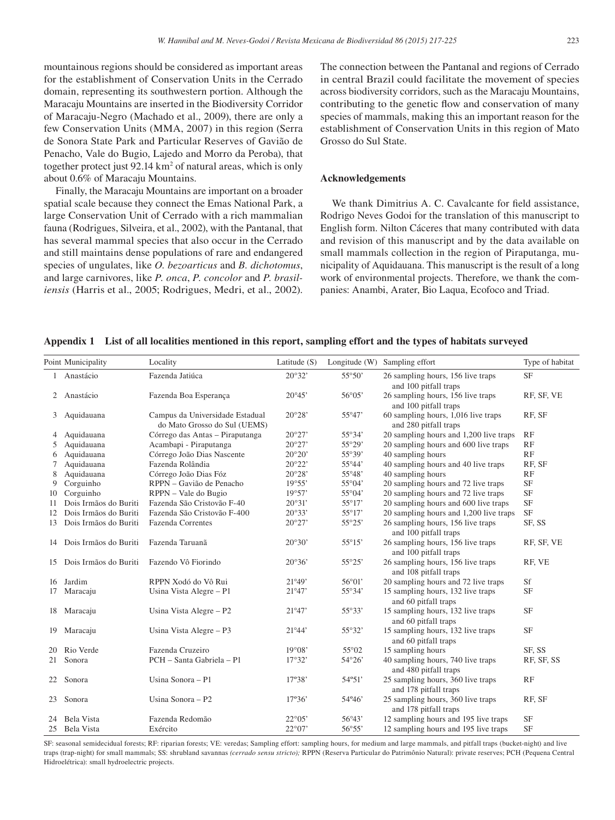mountainous regions should be considered as important areas for the establishment of Conservation Units in the Cerrado domain, representing its southwestern portion. Although the Maracaju Mountains are inserted in the Biodiversity Corridor of Maracaju-Negro (Machado et al., 2009), there are only a few Conservation Units (MMA, 2007) in this region (Serra de Sonora State Park and Particular Reserves of Gavião de Penacho, Vale do Bugio, Lajedo and Morro da Peroba), that together protect just 92.14 km<sup>2</sup> of natural areas, which is only about 0.6% of Maracaju Mountains.

Finally, the Maracaju Mountains are important on a broader spatial scale because they connect the Emas National Park, a large Conservation Unit of Cerrado with a rich mammalian fauna (Rodrigues, Silveira, et al., 2002), with the Pantanal, that has several mammal species that also occur in the Cerrado and still maintains dense populations of rare and endangered species of ungulates, like *O. bezoarticus* and *B. dichotomus*, and large carnivores, like *P. onca*, *P. concolor* and *P. brasiliensis* (Harris et al., 2005; Rodrigues, Medri, et al., 2002). The connection between the Pantanal and regions of Cerrado in central Brazil could facilitate the movement of species across biodiversity corridors, such as the Maracaju Mountains, contributing to the genetic flow and conservation of many species of mammals, making this an important reason for the establishment of Conservation Units in this region of Mato Grosso do Sul State.

## **Acknowledgements**

We thank Dimitrius A. C. Cavalcante for field assistance, Rodrigo Neves Godoi for the translation of this manuscript to English form. Nilton Cáceres that many contributed with data and revision of this manuscript and by the data available on small mammals collection in the region of Piraputanga, municipality of Aquidauana. This manuscript is the result of a long work of environmental projects. Therefore, we thank the companies: Anambi, Arater, Bio Laqua, Ecofoco and Triad.

# **Appendix 1 List of all localities mentioned in this report, sampling effort and the types of habitats surveyed**

|    | Point Municipality    | Locality                                                        | Latitude $(S)$  |                 | Longitude (W) Sampling effort                                | Type of habitat |
|----|-----------------------|-----------------------------------------------------------------|-----------------|-----------------|--------------------------------------------------------------|-----------------|
|    | 1 Anastácio           | Fazenda Jatiúca                                                 | 20°32'          | $55^{\circ}50'$ | 26 sampling hours, 156 live traps<br>and 100 pitfall traps   | <b>SF</b>       |
|    | 2 Anastácio           | Fazenda Boa Esperança                                           | 20°45'          | 56°05'          | 26 sampling hours, 156 live traps<br>and 100 pitfall traps   | RF, SF, VE      |
| 3  | Aquidauana            | Campus da Universidade Estadual<br>do Mato Grosso do Sul (UEMS) | 20°28'          | 55°47'          | 60 sampling hours, 1,016 live traps<br>and 280 pitfall traps | RF, SF          |
| 4  | Aquidauana            | Córrego das Antas - Piraputanga                                 | $20^{\circ}27'$ | 55°34'          | 20 sampling hours and 1,200 live traps                       | RF              |
| 5  | Aquidauana            | Acambapi - Piraputanga                                          | $20^{\circ}27'$ | 55°29'          | 20 sampling hours and 600 live traps                         | RF              |
| 6  | Aquidauana            | Córrego João Dias Nascente                                      | 20°20'          | 55°39'          | 40 sampling hours                                            | RF              |
| 7  | Aquidauana            | Fazenda Rolândia                                                | $20^{\circ}22'$ | 55°44'          | 40 sampling hours and 40 live traps                          | RF, SF          |
| 8  | Aquidauana            | Córrego João Dias Fóz                                           | 20°28'          | 55°48'          | 40 sampling hours                                            | RF              |
| 9  | Corguinho             | RPPN - Gavião de Penacho                                        | 19°55'          | $55^{\circ}04'$ | 20 sampling hours and 72 live traps                          | <b>SF</b>       |
| 10 | Corguinho             | RPPN - Vale do Bugio                                            | 19°57'          | 55°04'          | 20 sampling hours and 72 live traps                          | <b>SF</b>       |
| 11 | Dois Irmãos do Buriti | Fazenda São Cristovão F-40                                      | 20°31'          | 55°17'          | 20 sampling hours and 600 live traps                         | <b>SF</b>       |
| 12 | Dois Irmãos do Buriti | Fazenda São Cristovão F-400                                     | 20°33'          | 55°17'          | 20 sampling hours and 1,200 live traps                       | <b>SF</b>       |
| 13 | Dois Irmãos do Buriti | <b>Fazenda Correntes</b>                                        | $20^{\circ}27'$ | 55°25'          | 26 sampling hours, 156 live traps<br>and 100 pitfall traps   | SF, SS          |
| 14 | Dois Irmãos do Buriti | Fazenda Taruanã                                                 | 20°30'          | 55°15'          | 26 sampling hours, 156 live traps<br>and 100 pitfall traps   | RF, SF, VE      |
| 15 | Dois Irmãos do Buriti | Fazendo Vô Fiorindo                                             | 20°36'          | 55°25'          | 26 sampling hours, 156 live traps<br>and 108 pitfall traps   | RF, VE          |
| 16 | Jardim                | RPPN Xodó do Vô Rui                                             | 21°49'          | 56°01'          | 20 sampling hours and 72 live traps                          | Sf              |
| 17 | Maracaju              | Usina Vista Alegre - P1                                         | 21°47'          | 55°34'          | 15 sampling hours, 132 live traps<br>and 60 pitfall traps    | <b>SF</b>       |
| 18 | Maracaju              | Usina Vista Alegre - P2                                         | 21°47'          | 55°33'          | 15 sampling hours, 132 live traps<br>and 60 pitfall traps    | <b>SF</b>       |
| 19 | Maracaju              | Usina Vista Alegre - P3                                         | 21°44'          | 55°32'          | 15 sampling hours, 132 live traps<br>and 60 pitfall traps    | <b>SF</b>       |
| 20 | Rio Verde             | Fazenda Cruzeiro                                                | $19^{\circ}08'$ | 55°02           | 15 sampling hours                                            | SF, SS          |
| 21 | Sonora                | PCH - Santa Gabriela - P1                                       | $17^{\circ}32'$ | $54^{\circ}26'$ | 40 sampling hours, 740 live traps<br>and 480 pitfall traps   | RF, SF, SS      |
| 22 | Sonora                | Usina Sonora - P1                                               | 17°38'          | 54°51'          | 25 sampling hours, 360 live traps<br>and 178 pitfall traps   | RF              |
| 23 | Sonora                | Usina Sonora - P2                                               | 17°36'          | 54°46'          | 25 sampling hours, 360 live traps<br>and 178 pitfall traps   | RF, SF          |
| 24 | Bela Vista            | Fazenda Redomão                                                 | $22^{\circ}05'$ | 56°43'          | 12 sampling hours and 195 live traps                         | <b>SF</b>       |
|    | 25 Bela Vista         | Exército                                                        | $22^{\circ}07'$ | 56°55'          | 12 sampling hours and 195 live traps                         | <b>SF</b>       |

SF: seasonal semidecidual forests; RF: riparian forests; VE: veredas; Sampling effort: sampling hours, for medium and large mammals, and pitfall traps (bucket-night) and live traps (trap-night) for small mammals; SS: shrubland savannas *(cerrado sensu stricto);* RPPN (Reserva Particular do Patrimônio Natural): private reserves; PCH (Pequena Central Hidroelétrica): small hydroelectric projects.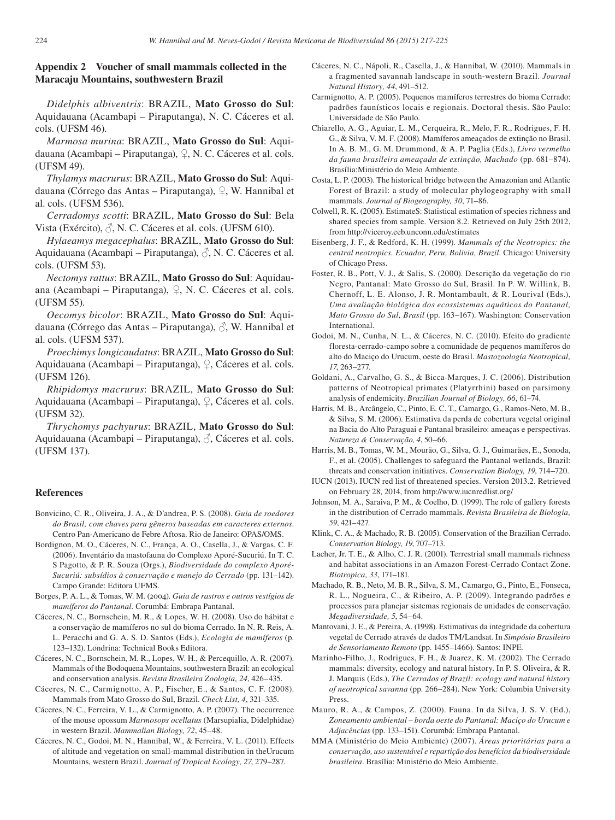# **Appendix 2 Voucher of small mammals collected in the Maracaju Mountains, southwestern Brazil**

*Didelphis albiventris*: BRAZIL, **Mato Grosso do Sul**: Aquidauana (Acambapi – Piraputanga), N. C. Cáceres et al. cols. (UFSM 46).

*Marmosa murina*: BRAZIL, **Mato Grosso do Sul**: Aquidauana (Acambapi – Piraputanga), ♀, N. C. Cáceres et al. cols. (UFSM 49).

*Thylamys macrurus*: BRAZIL, **Mato Grosso do Sul**: Aquidauana (Córrego das Antas – Piraputanga), ♀, W. Hannibal et al. cols. (UFSM 536).

*Cerradomys scotti*: BRAZIL, **Mato Grosso do Sul**: Bela Vista (Exército),  $\beta$ , N. C. Cáceres et al. cols. (UFSM 610).

*Hylaeamys megacephalus*: BRAZIL, **Mato Grosso do Sul**: Aquidauana (Acambapi – Piraputanga),  $\beta$ , N. C. Cáceres et al. cols. (UFSM 53).

*Nectomys rattus*: BRAZIL, **Mato Grosso do Sul**: Aquidauana (Acambapi – Piraputanga), ♀, N. C. Cáceres et al. cols. (UFSM 55).

*Oecomys bicolor*: BRAZIL, **Mato Grosso do Sul**: Aquidauana (Córrego das Antas – Piraputanga),  $\beta$ , W. Hannibal et al. cols. (UFSM 537).

*Proechimys longicaudatus*: BRAZIL, **Mato Grosso do Sul**: Aquidauana (Acambapi – Piraputanga), ♀, Cáceres et al. cols. (UFSM 126).

*Rhipidomys macrurus*: BRAZIL, **Mato Grosso do Sul**: Aquidauana (Acambapi – Piraputanga), ♀, Cáceres et al. cols. (UFSM 32).

*Thrychomys pachyurus*: BRAZIL, **Mato Grosso do Sul**: Aquidauana (Acambapi – Piraputanga),  $\partial$ , Cáceres et al. cols. (UFSM 137).

## **References**

- Bonvicino, C. R., Oliveira, J. A., & D'andrea, P. S. (2008). *Guia de roedores do Brasil, com chaves para gêneros baseadas em caracteres externos*. Centro Pan-Americano de Febre Aftosa. Rio de Janeiro: OPAS/OMS.
- Bordignon, M. O., Cáceres, N. C., França, A. O., Casella, J., & Vargas, C. F. (2006). Inventário da mastofauna do Complexo Aporé-Sucuriú. In T. C. S Pagotto, & P. R. Souza (Orgs.), *Biodiversidade do complexo Aporé-Sucuriú: subsídios à conservação e manejo do Cerrado* (pp. 131–142). Campo Grande: Editora UFMS.
- Borges, P. A. L., & Tomas, W. M. (2004). *Guia de rastros e outros vestígios de mamíferos do Pantanal.* Corumbá: Embrapa Pantanal.
- Cáceres, N. C., Bornschein, M. R., & Lopes, W. H. (2008). Uso do hábitat e a conservação de mamíferos no sul do bioma Cerrado. In N. R. Reis, A. L. Peracchi and G. A. S. D. Santos (Eds.), *Ecologia de mamíferos* (p. 123–132). Londrina: Technical Books Editora.
- Cáceres, N. C., Bornschein, M. R., Lopes, W. H., & Percequillo, A. R. (2007). Mammals of the Bodoquena Mountains, southwestern Brazil: an ecological and conservation analysis. *Revista Brasileira Zoologia, 24*, 426–435.
- Cáceres, N. C., Carmignotto, A. P., Fischer, E., & Santos, C. F. (2008). Mammals from Mato Grosso do Sul, Brazil. *Check List, 4*, 321–335.
- Cáceres, N. C., Ferreira, V. L., & Carmignotto, A. P. (2007). The occurrence of the mouse opossum *Marmosops ocellatus* (Marsupialia, Didelphidae) in western Brazil. *Mammalian Biology, 72*, 45–48.
- Cáceres, N. C., Godoi, M. N., Hannibal, W., & Ferreira, V. L. (2011). Effects of altitude and vegetation on small-mammal distribution in theUrucum Mountains, western Brazil. *Journal of Tropical Ecology, 27*, 279–287.
- Cáceres, N. C., Nápoli, R., Casella, J., & Hannibal, W. (2010). Mammals in a fragmented savannah landscape in south-western Brazil. *Journal Natural History, 44*, 491–512.
- Carmignotto, A. P. (2005). Pequenos mamíferos terrestres do bioma Cerrado: padrões faunísticos locais e regionais. Doctoral thesis. São Paulo: Universidade de São Paulo.
- Chiarello, A. G., Aguiar, L. M., Cerqueira, R., Melo, F. R., Rodrigues, F. H. G., & Silva, V. M. F. (2008). Mamíferos ameaçados de extinção no Brasil. In A. B. M., G. M. Drummond, & A. P. Paglia (Eds.), *Livro vermelho da fauna brasileira ameaçada de extinção, Machado* (pp. 681–874). Brasília:Ministério do Meio Ambiente.
- Costa, L. P. (2003). The historical bridge between the Amazonian and Atlantic Forest of Brazil: a study of molecular phylogeography with small mammals. *Journal of Biogeography, 30*, 71–86.
- Colwell, R. K. (2005). EstimateS: Statistical estimation of species richness and shared species from sample. Version 8.2. Retrieved on July 25th 2012, from http://viceroy.eeb.unconn.edu/estimates
- Eisenberg, J. F., & Redford, K. H. (1999). *Mammals of the Neotropics: the central neotropics. Ecuador, Peru, Bolivia, Brazil*. Chicago: University of Chicago Press.
- Foster, R. B., Pott, V. J., & Salis, S. (2000). Descrição da vegetação do rio Negro, Pantanal: Mato Grosso do Sul, Brasil. In P. W. Willink, B. Chernoff, L. E. Alonso, J. R. Montambault, & R. Lourival (Eds.), *Uma avaliação biológica dos ecossistemas aquáticos do Pantanal, Mato Grosso do Sul, Brasil* (pp. 163–167). Washington: Conservation International.
- Godoi, M. N., Cunha, N. L., & Cáceres, N. C. (2010). Efeito do gradiente floresta-cerrado-campo sobre a comunidade de pequenos mamíferos do alto do Maciço do Urucum, oeste do Brasil. *Mastozoología Neotropical, 17*, 263–277.
- Goldani, A., Carvalho, G. S., & Bicca-Marques, J. C. (2006). Distribution patterns of Neotropical primates (Platyrrhini) based on parsimony analysis of endemicity. *Brazilian Journal of Biology, 66*, 61–74.
- Harris, M. B., Arcângelo, C., Pinto, E. C. T., Camargo, G., Ramos-Neto, M. B., & Silva, S. M. (2006). Estimativa da perda de cobertura vegetal original na Bacia do Alto Paraguai e Pantanal brasileiro: ameaças e perspectivas. *Natureza & Conservação, 4*, 50–66.
- Harris, M. B., Tomas, W. M., Mourão, G., Silva, G. J., Guimarães, E., Sonoda, F., et al. (2005). Challenges to safeguard the Pantanal wetlands, Brazil: threats and conservation initiatives. *Conservation Biology, 19*, 714–720.
- IUCN (2013). IUCN red list of threatened species. Version 2013.2. Retrieved on February 28, 2014, from http://www.iucnredlist.org/
- Johnson, M. A., Saraiva, P. M., & Coelho, D. (1999). The role of gallery forests in the distribution of Cerrado mammals. *Revista Brasileira de Biologia, 59*, 421–427.
- Klink, C. A., & Machado, R. B. (2005). Conservation of the Brazilian Cerrado. *Conservation Biology, 19*, 707–713.
- Lacher, Jr. T. E., & Alho, C. J. R. (2001). Terrestrial small mammals richness and habitat associations in an Amazon Forest-Cerrado Contact Zone. *Biotropica, 33*, 171–181.
- Machado, R. B., Neto, M. B. R., Silva, S. M., Camargo, G., Pinto, E., Fonseca, R. L., Nogueira, C., & Ribeiro, A. P. (2009). Integrando padrões e processos para planejar sistemas regionais de unidades de conservação. *Megadiversidade, 5*, 54–64.
- Mantovani, J. E., & Pereira, A. (1998). Estimativas da integridade da cobertura vegetal de Cerrado através de dados TM/Landsat. In *Simpósio Brasileiro de Sensoriamento Remoto* (pp. 1455–1466). Santos: INPE.
- Marinho-Filho, J., Rodrigues, F. H., & Juarez, K. M. (2002). The Cerrado mammals: diversity, ecology and natural history. In P. S. Oliveira, & R. J. Marquis (Eds.), *The Cerrados of Brazil: ecology and natural history of neotropical savanna* (pp. 266–284). New York: Columbia University Press.
- Mauro, R. A., & Campos, Z. (2000). Fauna. In da Silva, J. S. V. (Ed.), *Zoneamento ambiental – borda oeste do Pantanal: Maciço do Urucum e Adjacências* (pp. 133–151). Corumbá: Embrapa Pantanal.
- MMA (Ministério do Meio Ambiente) (2007). *Áreas prioritárias para a conservação, uso sustentável e repartição dos benefícios da biodiversidade brasileira*. Brasília: Ministério do Meio Ambiente.